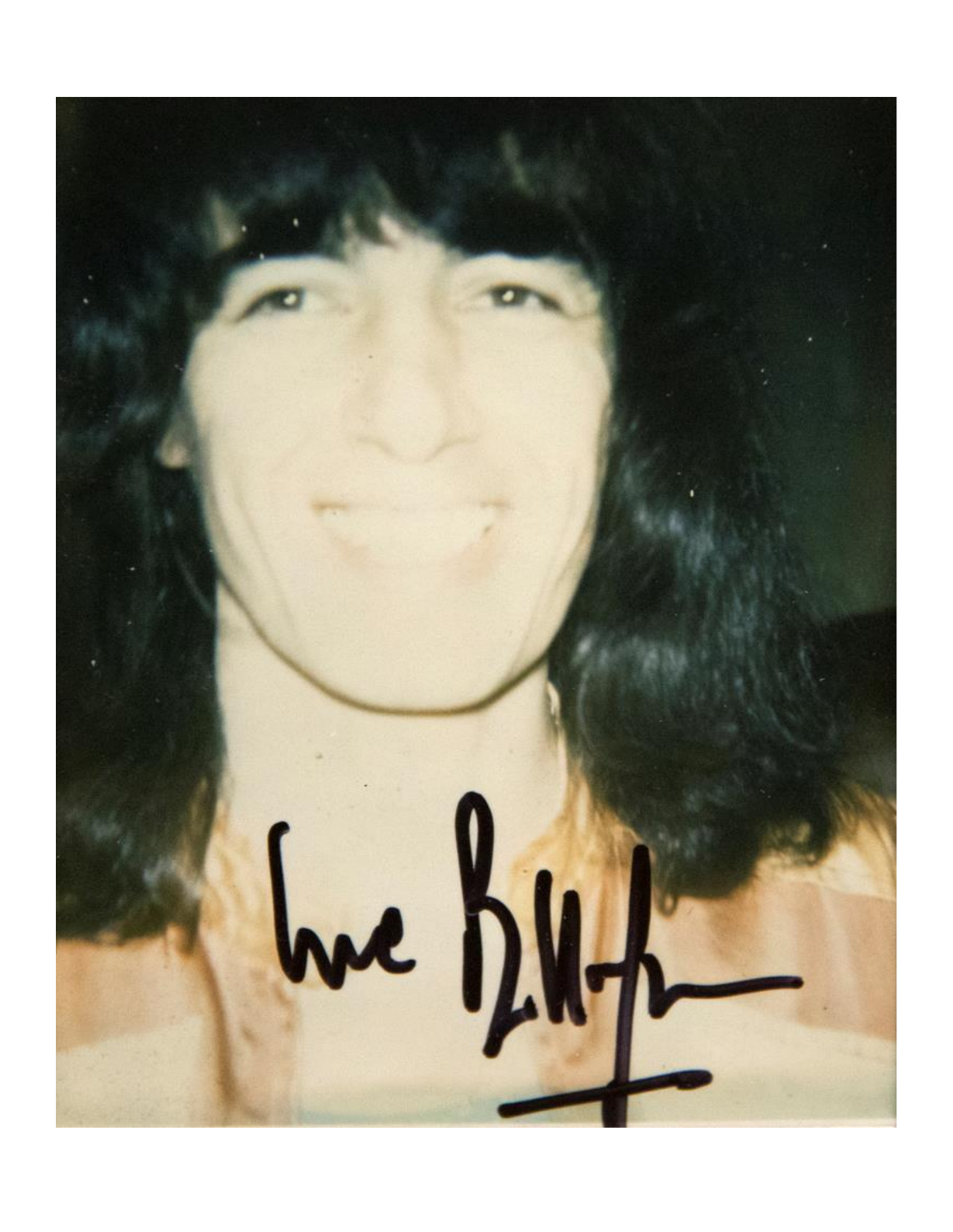